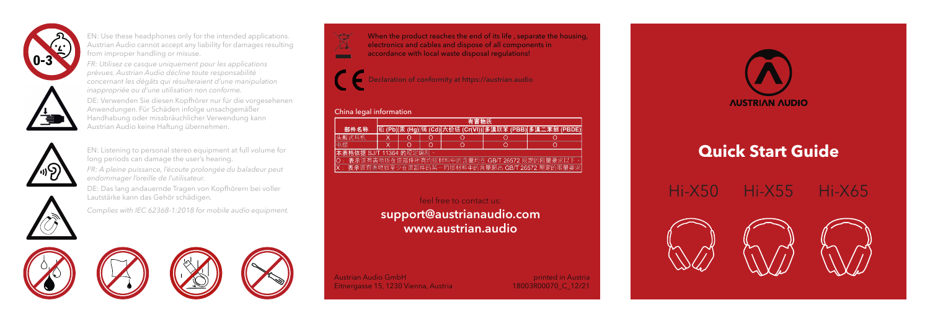

EN: Use these headphones only for the intended applications. Austrian Audio cannot accept any liability for damages resulting from improper handling or misuse.

*FR: Utilisez ce casque uniquement pour les applications prévues. Austrian Audio décline toute responsabilité concernant les dégâts qui résulteraient d'une manipulation inappropriée ou d'une utilisation non conforme.*

DE: Verwenden Sie diesen Kopfhörer nur für die vorgesehenen Anwendungen. Für Schäden infolge unsachgemäßer Handhabung oder missbräuchlicher Verwendung kann Austrian Audio keine Haftung übernehmen.



EN: Listening to personal stereo equipment at full volume for long periods can damage the user's hearing.

*FR: A pleine puissance, l'écoute prolongée du baladeur peut endommager l'oreille de l'utilisateur.*

DE: Das lang andauernde Tragen von Kopfhörern bei voller Lautstärke kann das Gehör schädigen.



*Complies with IEC 62368-1:2018 for mobile audio equipment.*



eclaration of conformity at https://austrian.audio

## China legal information

|                                                   | 有害物质 |  |   |   |  |                                                                   |
|---------------------------------------------------|------|--|---|---|--|-------------------------------------------------------------------|
| 部件名称                                              |      |  |   |   |  | 铅 (Pb) 汞 (Hg) 镉 (Cd) 六价铬 (Cr(VI)) 多溴联苯 (PBB)  <u>多溴二苯醚 (PBDE)</u> |
| 头戴式耳机                                             |      |  |   | O |  |                                                                   |
| 电缆                                                |      |  | Ω | O |  |                                                                   |
| 本表格依据 SJ/T 11364 的规定编制。                           |      |  |   |   |  |                                                                   |
| O : 表示该有害物质在该部件所有均质材料中的含量均在 GB/T 26572 规定的限量要求以下。 |      |  |   |   |  |                                                                   |
|                                                   |      |  |   |   |  | X: 表示该有害物质至少在该部件的某一均质材料中的含量超出 GB/T 26572 规定的限量要求                  |

support@austrianaudio.com www.austrian.audio

Austrian Audio GmbH Eitnergasse 15, 1230 Vienna, Austria

18003R00070\_C\_12/21



## **Quick Start Guide**







printed in Austria